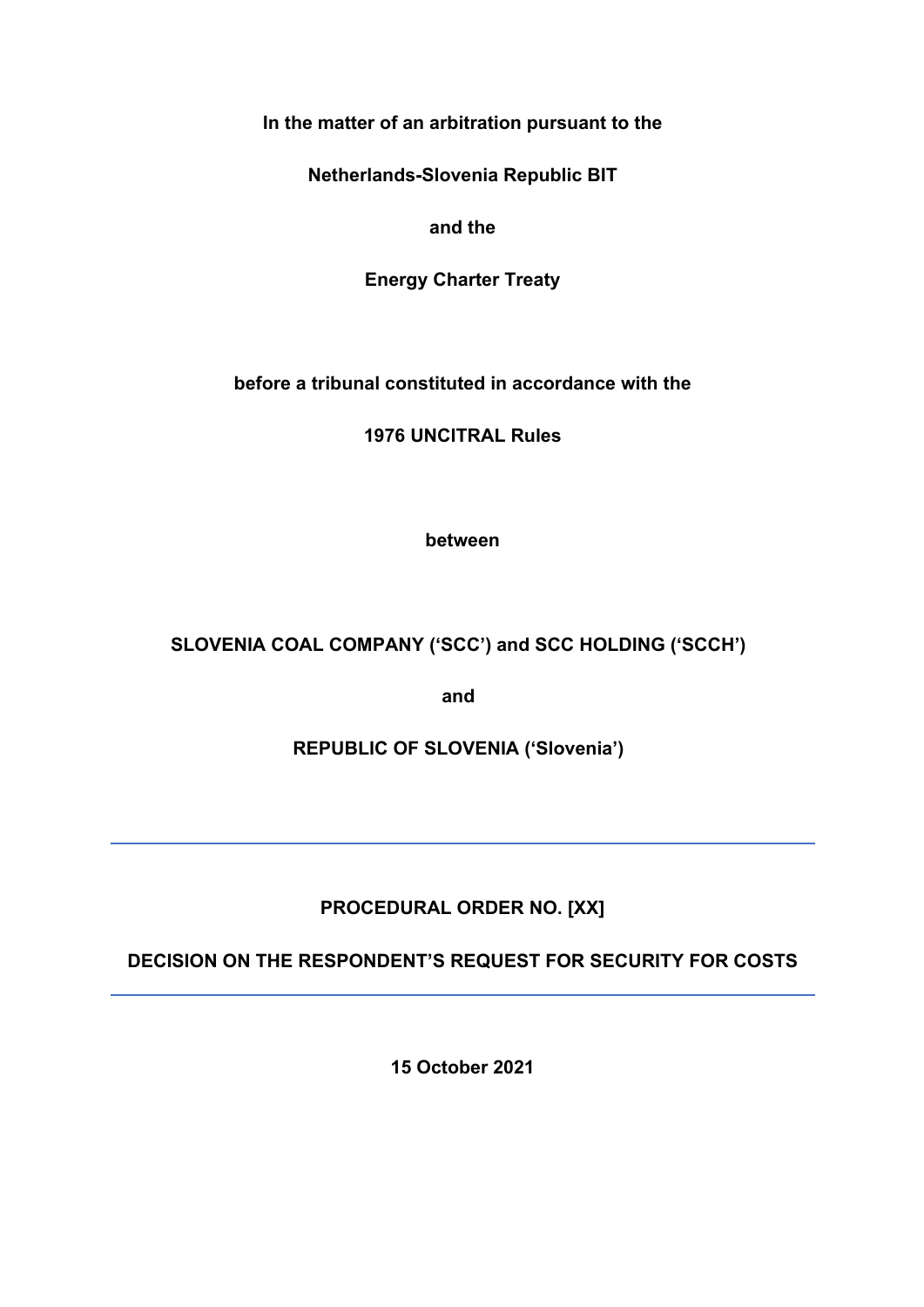## **In the matter of an arbitration pursuant to the**

**Netherlands-Slovenia Republic BIT**

**and the**

**Energy Charter Treaty** 

**before a tribunal constituted in accordance with the**

**1976 UNCITRAL Rules**

**between**

**SLOVENIA COAL COMPANY ('SCC') and SCC HOLDING ('SCCH')**

**and**

**REPUBLIC OF SLOVENIA ('Slovenia')**

# **PROCEDURAL ORDER NO. [XX]**

**DECISION ON THE RESPONDENT'S REQUEST FOR SECURITY FOR COSTS**

**15 October 2021**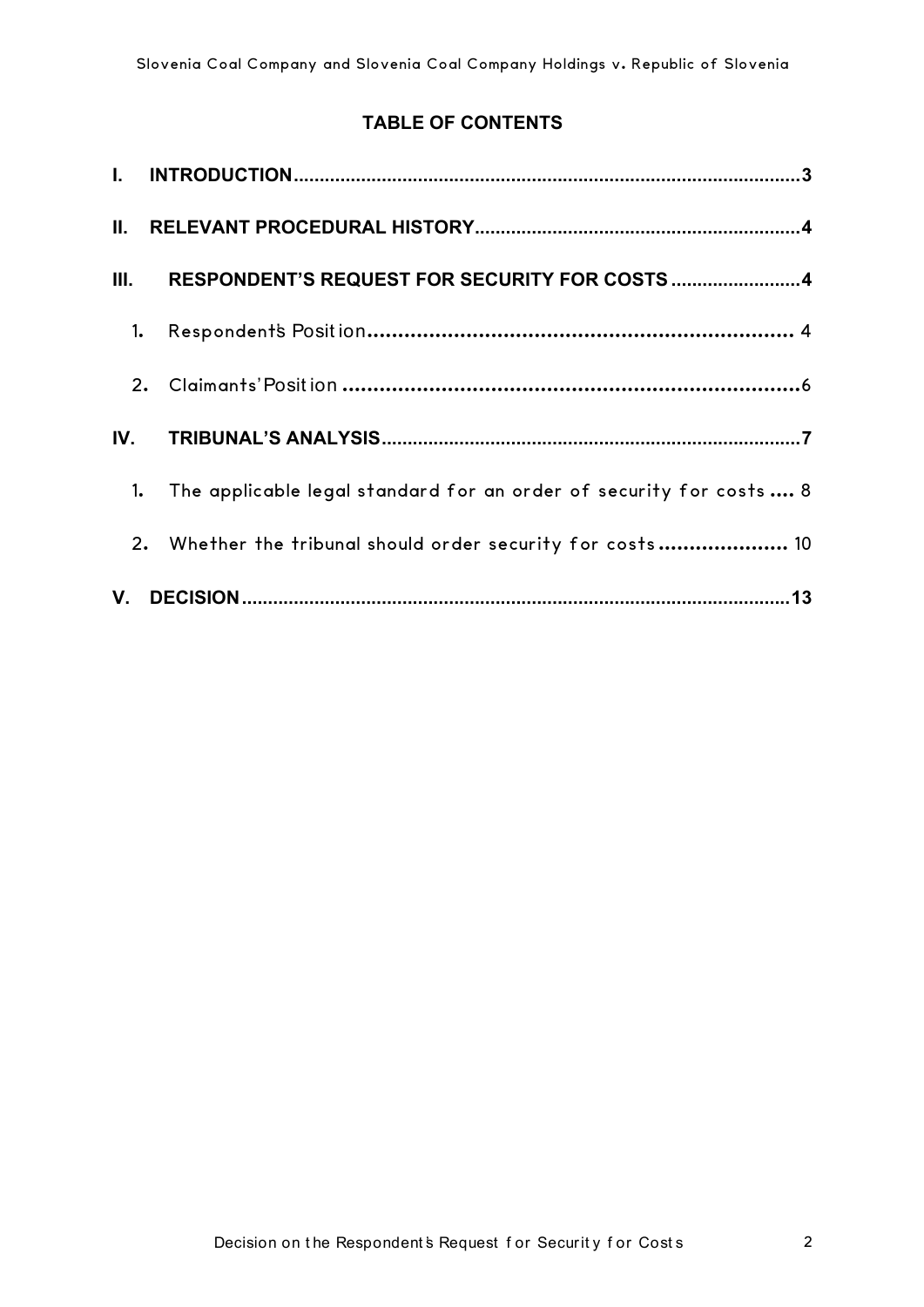## **TABLE OF CONTENTS**

| II.  |    |                                                                     |  |
|------|----|---------------------------------------------------------------------|--|
| III. |    | RESPONDENT'S REQUEST FOR SECURITY FOR COSTS 4                       |  |
|      | 1. |                                                                     |  |
|      | 2. |                                                                     |  |
| IV.  |    |                                                                     |  |
|      | 1. | The applicable legal standard for an order of security for costs  8 |  |
|      |    | 2. Whether the tribunal should order security for costs 10          |  |
|      |    |                                                                     |  |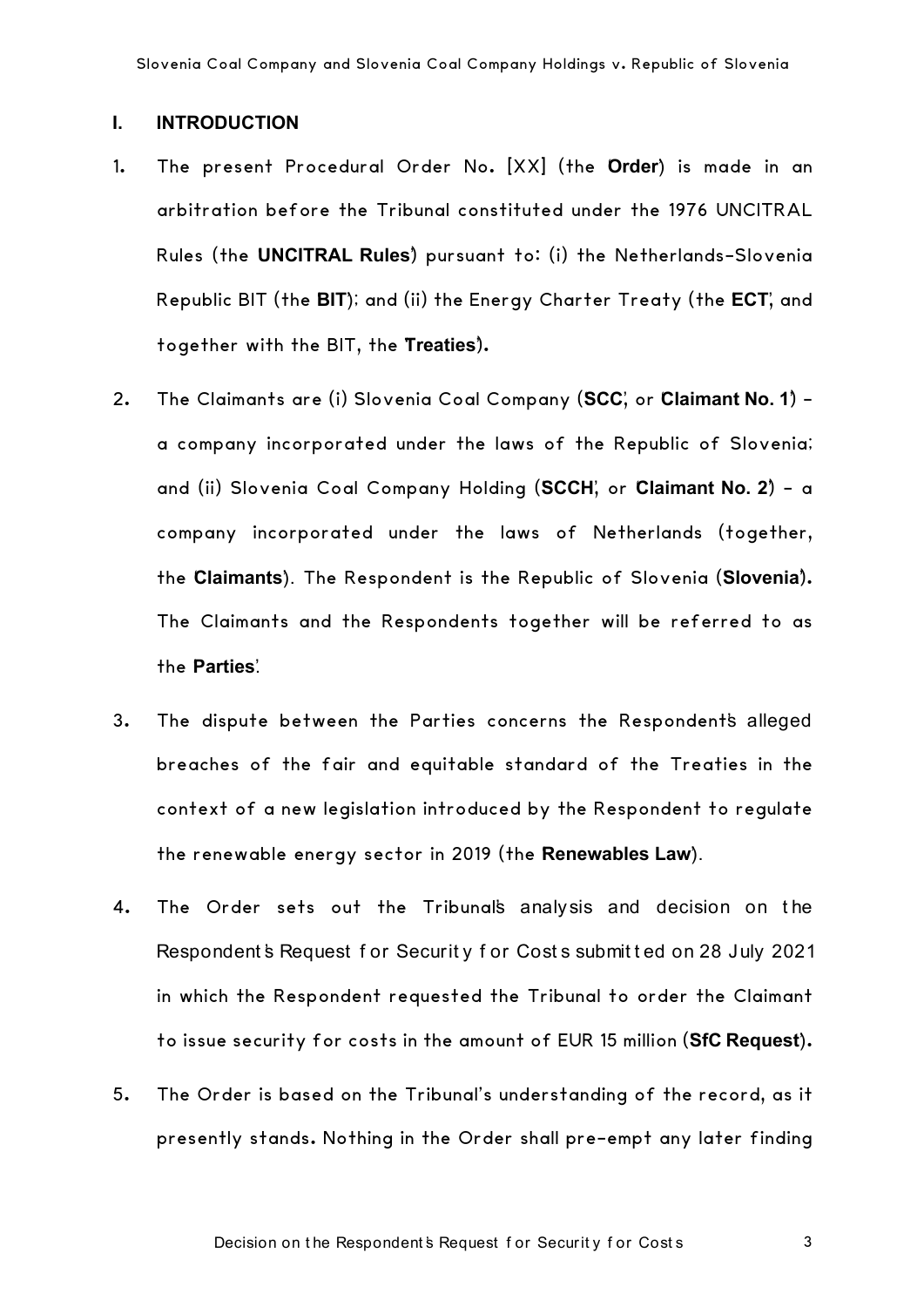### **I. INTRODUCTION**

- 1. The present Procedural Order No. [XX] (the Order) is made in an arbitration before the Tribunal constituted under the 1976 UNCITRAL Rules (the **UNCITRAL Rules**) pursuant to: (i) the Netherlands-Slovenia Republic BIT (the **BIT**); and (ii) the Energy Charter Treaty (the **ECT**, and together with the BIT, the '**Treaties**').
- 2. The Claimants are (i) Slovenia Coal Company (SCC', or Claimant No. 1) a company incorporated under the laws of the Republic of Slovenia; and (ii) Slovenia Coal Company Holding (SCCH', or Claimant No. 2) - a company incorporated under the laws of Netherlands (together, the '**Claimants**'). The Respondent is the Republic of Slovenia ('**Slovenia**'). The Claimants and the Respondents together will be referred to as the **Parties**'.
- 3. The dispute between the Parties concerns the Respondent's alleged breaches of the fair and equitable standard of the Treaties in the context of a new legislation introduced by the Respondent to regulate the renewable energy sector in 2019 (the **Renewables Law**).
- 4. The Order sets out the Tribunal's analysis and decision on the Respondent's Request for Security for Costs submitted on 28 July 2021 in which the Respondent requested the Tribunal to order the Claimant to issue security for costs in the amount of EUR 15 million ('**SfC Request**').
- 5. The Order is based on the Tribunal's understanding of the record, as it presently stands. Nothing in the Order shall pre-empt any later finding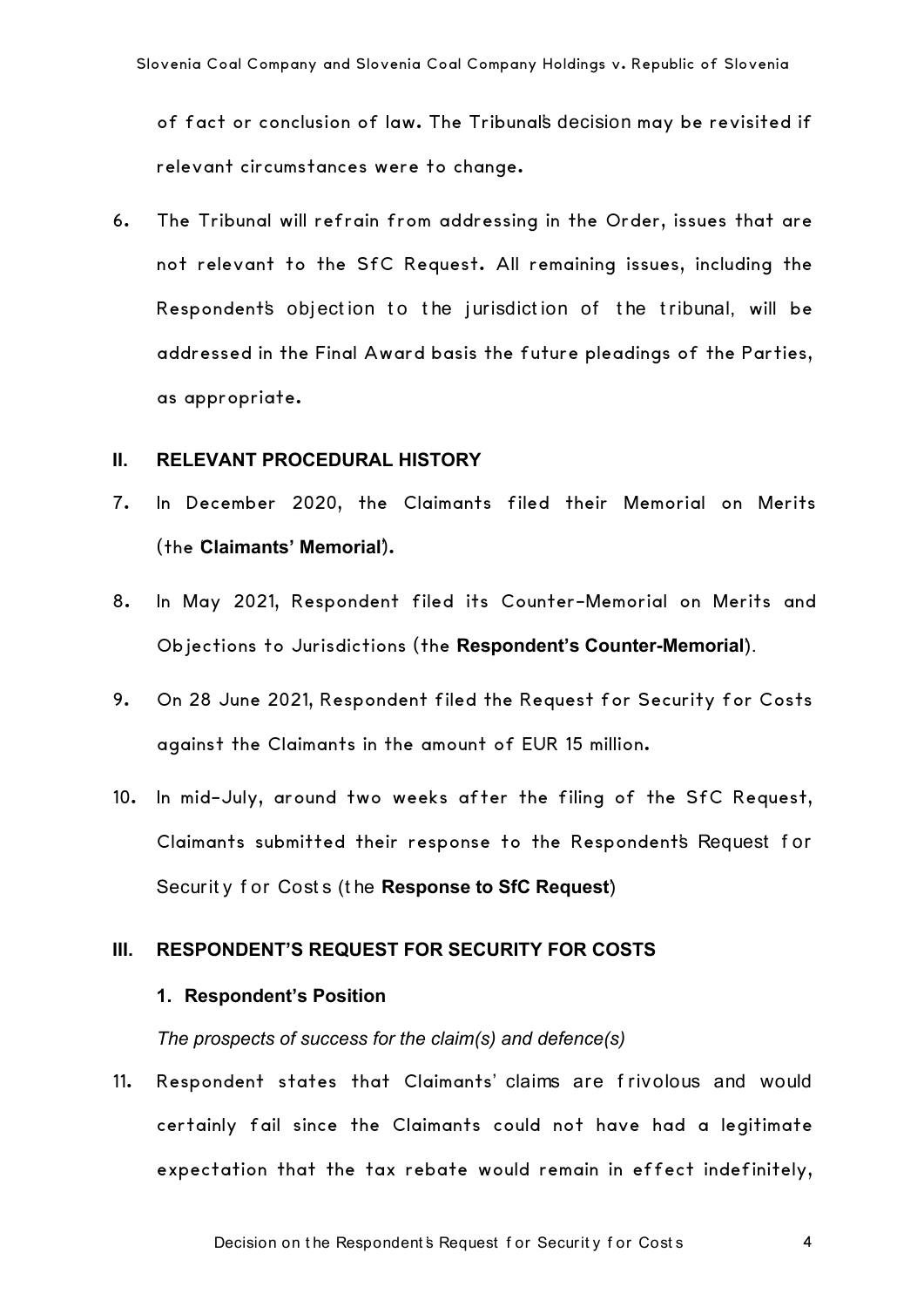of fact or conclusion of law. The Tribunal's decision may be revisited if relevant circumstances were to change.

6. The Tribunal will refrain from addressing in the Order, issues that are not relevant to the SfC Request. All remaining issues, including the Respondent's objection to the jurisdiction of the tribunal, will be addressed in the Final Award basis the future pleadings of the Parties, as appropriate.

#### **II. RELEVANT PROCEDURAL HISTORY**

- 7. In December 2020, the Claimants filed their Memorial on Merits (the Claimants' Memorial).
- 8. In May 2021, Respondent filed its Counter-Memorial on Merits and Objections to Jurisdictions (the Respondent's Counter-Memorial).
- 9. On 28 June 2021, Respondent filed the Request for Security for Costs against the Claimants in the amount of EUR 15 million.
- 10. In mid-July, around two weeks after the filing of the SfC Request, Claimants submitted their response to the Respondent's Request f or Security for Costs (the Response to SfC Request)

### **III. RESPONDENT'S REQUEST FOR SECURITY FOR COSTS**

#### **1. Respondent's Position**

*The prospects of success for the claim(s) and defence(s)*

11. Respondent states that Claimants' claims are f rivolous and would certainly fail since the Claimants could not have had a legitimate expectation that the tax rebate would remain in effect indefinitely,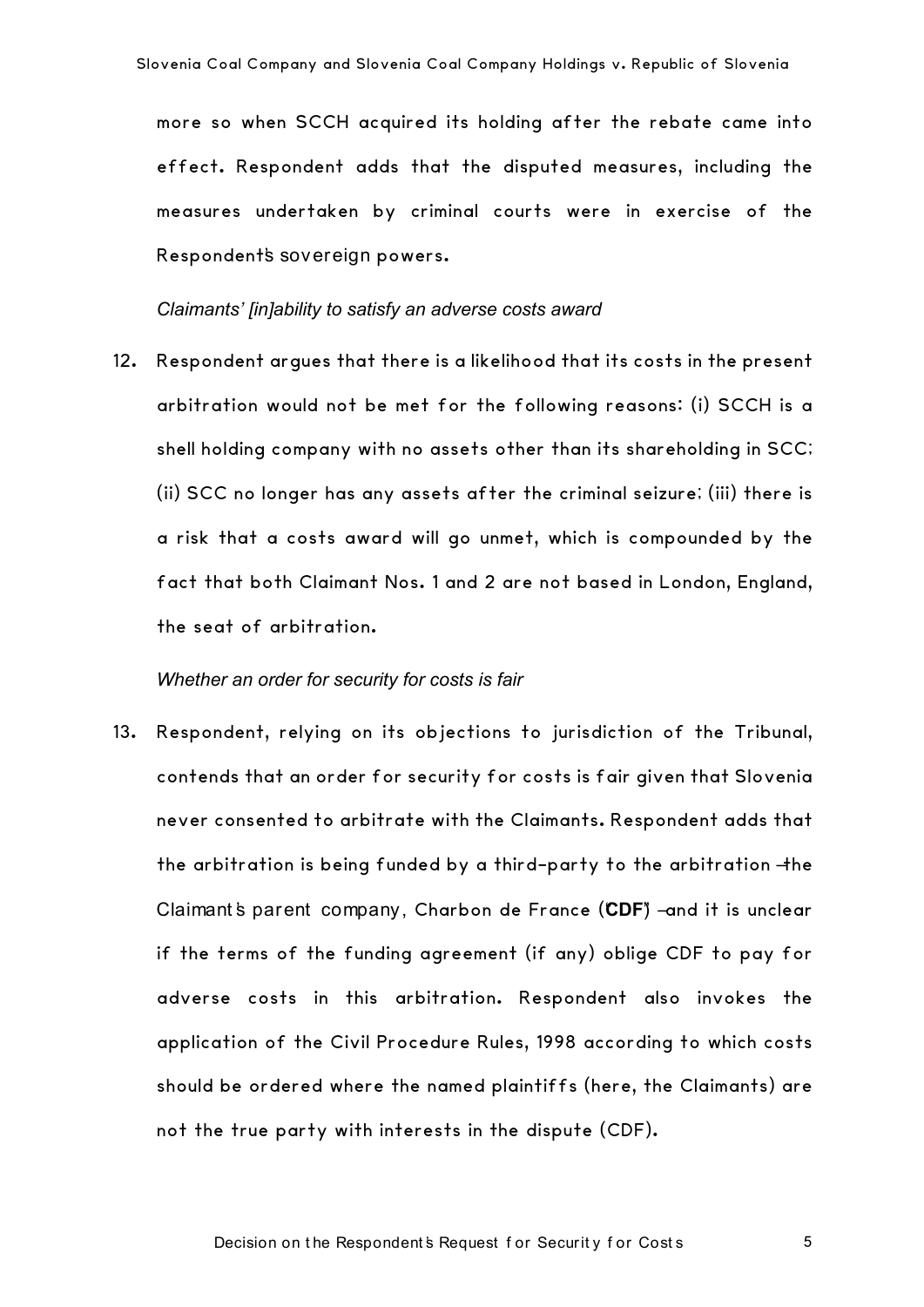more so when SCCH acquired its holding after the rebate came into effect. Respondent adds that the disputed measures, including the measures undertaken by criminal courts were in exercise of the Respondent's sovereign powers.

*Claimants' [in]ability to satisfy an adverse costs award*

12. Respondent argues that there is a likelihood that its costs in the present arbitration would not be met for the following reasons: (i) SCCH is a shell holding company with no assets other than its shareholding in SCC; (ii) SCC no longer has any assets after the criminal seizure; (iii) there is a risk that a costs award will go unmet, which is compounded by the fact that both Claimant Nos. 1 and 2 are not based in London, England, the seat of arbitration.

#### *Whether an order for security for costs is fair*

13. Respondent, relying on its objections to jurisdiction of the Tribunal, contends that an order for security for costs is fair given that Slovenia never consented to arbitrate with the Claimants. Respondent adds that the arbitration is being funded by a third-party to the arbitration –the Claimant's parent company, Charbon de France (CDF) –and it is unclear if the terms of the funding agreement (if any) oblige CDF to pay for adverse costs in this arbitration. Respondent also invokes the application of the Civil Procedure Rules, 1998 according to which costs should be ordered where the named plaintiffs (here, the Claimants) are not the true party with interests in the dispute (CDF).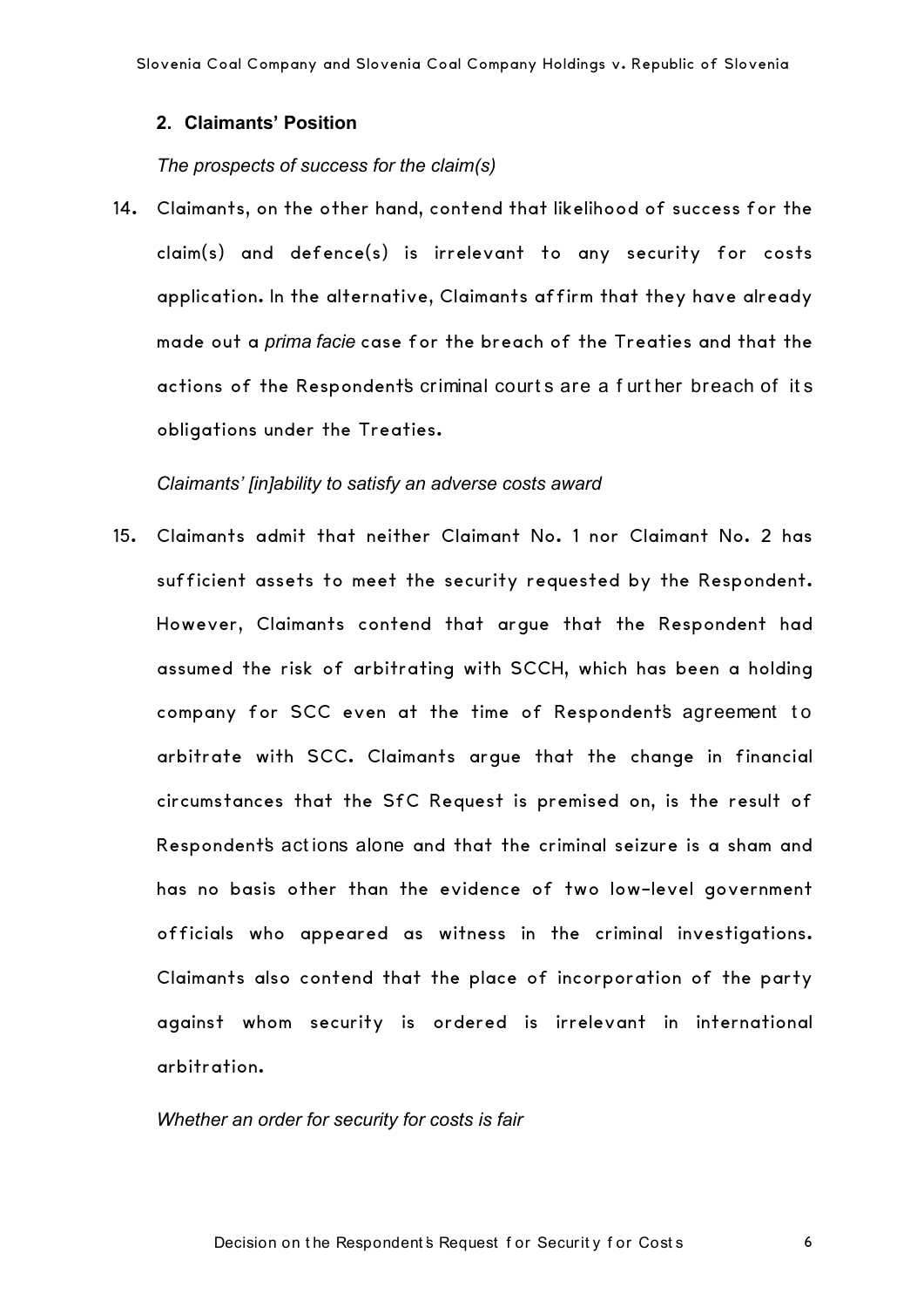#### **2. Claimants' Position**

#### *The prospects of success for the claim(s)*

14. Claimants, on the other hand, contend that likelihood of success for the claim(s) and defence(s) is irrelevant to any security for costs application. In the alternative, Claimants affirm that they have already made out a *prima facie* case for the breach of the Treaties and that the actions of the Respondent's criminal court s are a f urt her breach of it s obligations under the Treaties.

#### *Claimants' [in]ability to satisfy an adverse costs award*

15. Claimants admit that neither Claimant No. 1 nor Claimant No. 2 has sufficient assets to meet the security requested by the Respondent. However, Claimants contend that argue that the Respondent had assumed the risk of arbitrating with SCCH, which has been a holding company for SCC even at the time of Respondent's agreement to arbitrate with SCC. Claimants argue that the change in financial circumstances that the SfC Request is premised on, is the result of Respondent's act ions alone and that the criminal seizure is a sham and has no basis other than the evidence of two low-level government officials who appeared as witness in the criminal investigations. Claimants also contend that the place of incorporation of the party against whom security is ordered is irrelevant in international arbitration.

#### *Whether an order for security for costs is fair*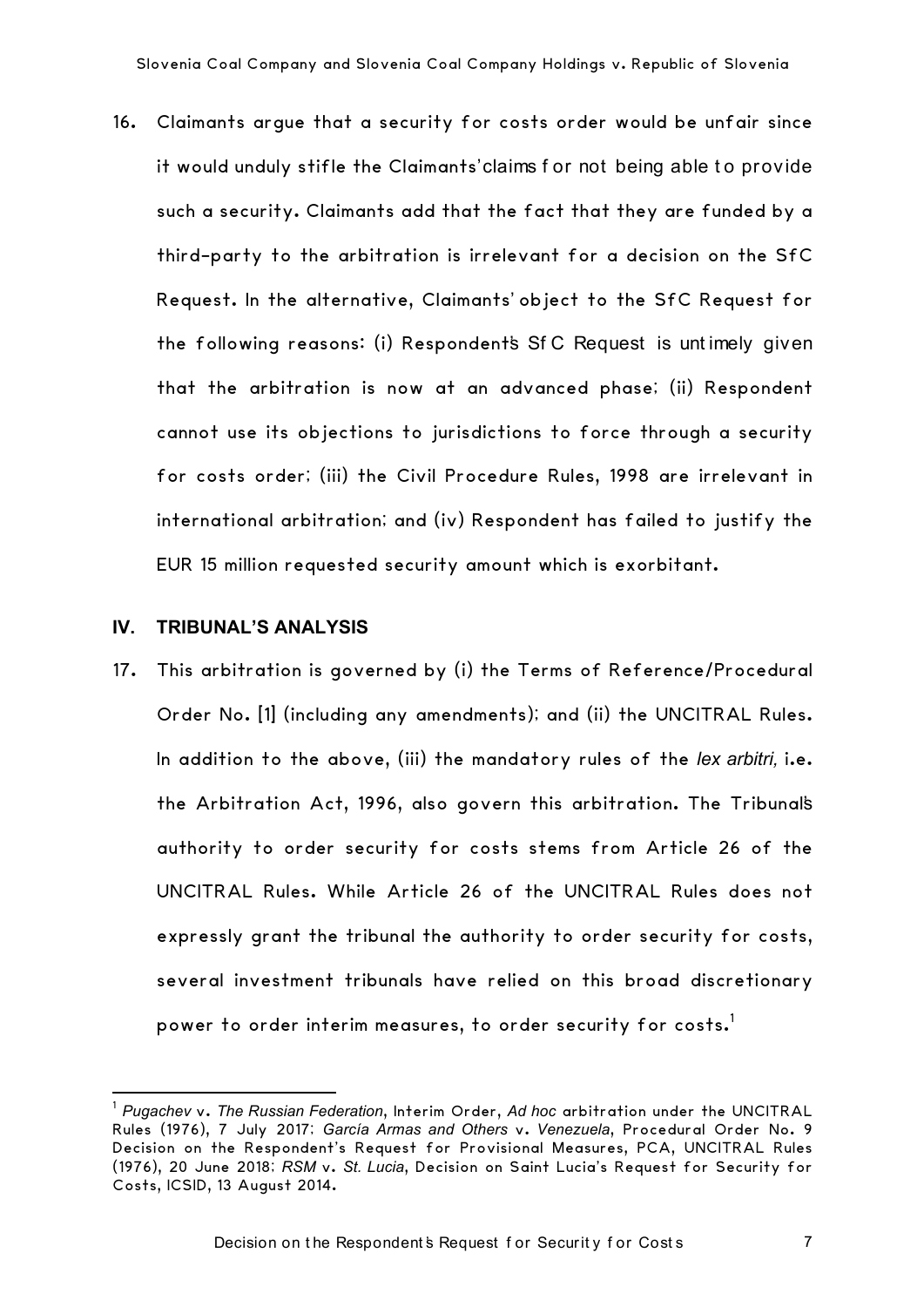16. Claimants argue that a security for costs order would be unfair since it would unduly stifle the Claimants' claims for not being able to provide such a security. Claimants add that the fact that they are funded by a third-party to the arbitration is irrelevant for a decision on the SfC Request. In the alternative, Claimants' object to the SfC Request for the following reasons: (i) Respondent's Sf C Request is unt imely given that the arbitration is now at an advanced phase; (ii) Respondent cannot use its objections to jurisdictions to force through a security for costs order; (iii) the Civil Procedure Rules, 1998 are irrelevant in international arbitration; and (iv) Respondent has failed to justify the EUR 15 million requested security amount which is exorbitant.

#### **IV. TRIBUNAL'S ANALYSIS**

17. This arbitration is governed by (i) the Terms of Reference/Procedural Order No. [1] (including any amendments); and (ii) the UNCITRAL Rules. In addition to the above, (iii) the mandatory rules of the *lex arbitri,* i.e. the Arbitration Act, 1996, also govern this arbitration. The Tribunal's authority to order security for costs stems from Article 26 of the UNCITRAL Rules. While Article 26 of the UNCITRAL Rules does not expressly grant the tribunal the authority to order security for costs, several investment tribunals have relied on this broad discretionary power to order interim measures, to order security for costs.<sup>1</sup>

 <sup>1</sup> *Pugachev* v. *The Russian Federation*, Interim Order, *Ad hoc* arbitration under the UNCITRAL Rules (1976), 7 July 2017; *García Armas and Others* v. *Venezuela*, Procedural Order No. 9 Decision on the Respondent's Request for Provisional Measures, PCA, UNCITRAL Rules (1976), 20 June 2018; *RSM* v. *St. Lucia*, Decision on Saint Lucia's Request for Security for Costs, ICSID, 13 August 2014.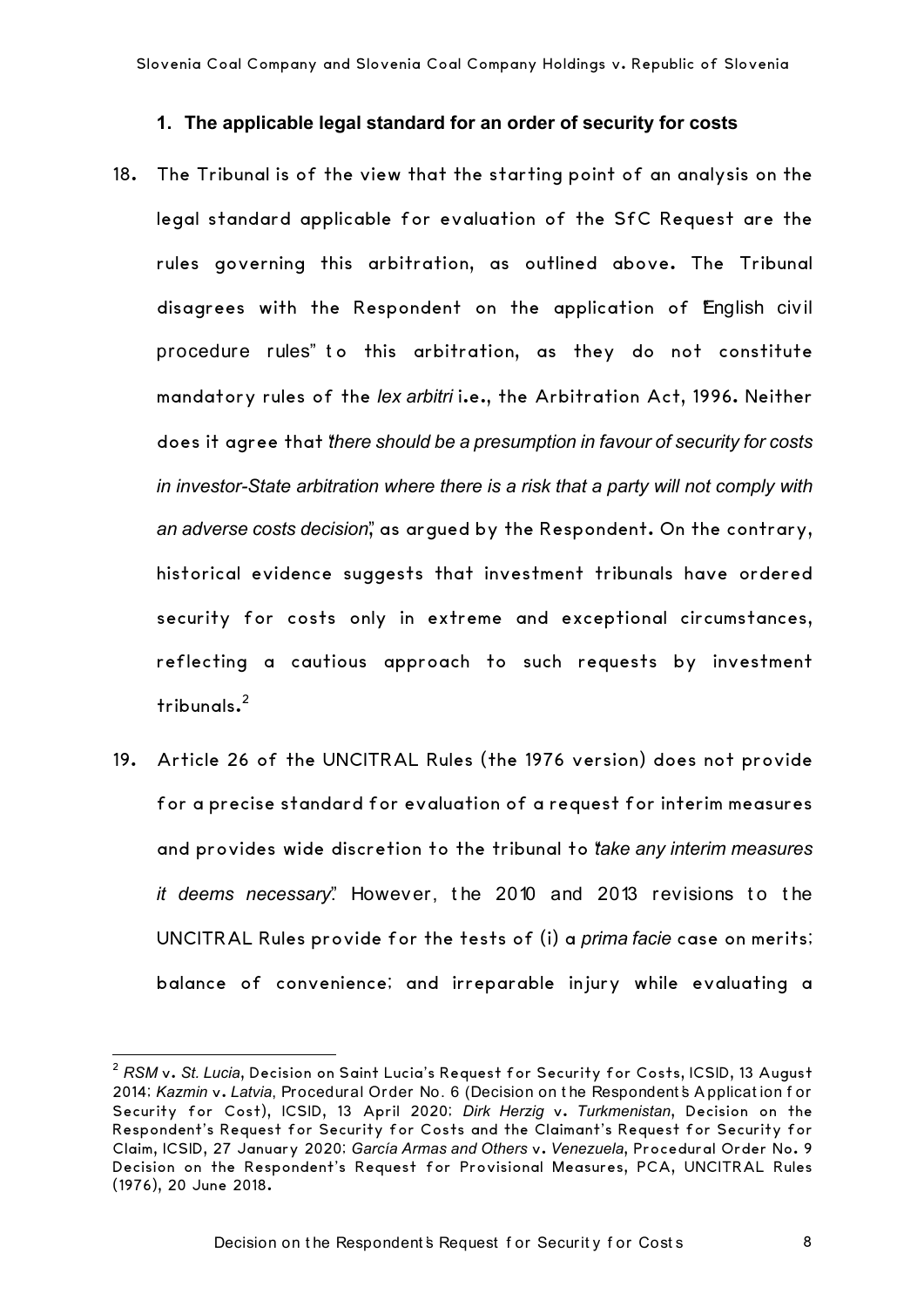#### **1. The applicable legal standard for an order of security for costs**

- 18. The Tribunal is of the view that the starting point of an analysis on the legal standard applicable for evaluation of the SfC Request are the rules governing this arbitration, as outlined above. The Tribunal disagrees with the Respondent on the application of English civil procedure rules" to this arbitration, as they do not constitute mandatory rules of the *lex arbitri* i.e., the Arbitration Act, 1996. Neither does it agree that "*there should be a presumption in favour of security for costs in investor-State arbitration where there is a risk that a party will not comply with an adverse costs decision*", as argued by the Respondent. On the contrary, historical evidence suggests that investment tribunals have ordered security for costs only in extreme and exceptional circumstances, reflecting a cautious approach to such requests by investment tribunals.2
- 19. Article 26 of the UNCITRAL Rules (the 1976 version) does not provide for a precise standard for evaluation of a request for interim measures and provides wide discretion to the tribunal to "*take any interim measures it deems necessary*". However, the 2010 and 2013 revisions to the UNCITRAL Rules provide for the tests of (i) a *prima facie* case on merits; balance of convenience; and irreparable injury while evaluating a

 <sup>2</sup> *RSM* v. *St. Lucia*, Decision on Saint Lucia's Request for Security for Costs, ICSID, 13 August 2014; *Kazmin* v. *Latvia*, Procedural Order No. 6 (Decision on t he Respondent 's A pplicat ion f or Security for Cost), ICSID, 13 April 2020; *Dirk Herzig* v. *Turkmenistan*, Decision on the Respondent's Request for Security for Costs and the Claimant's Request for Security for Claim, ICSID, 27 January 2020; *García Armas and Others* v. *Venezuela*, Procedural Order No. 9 Decision on the Respondent's Request for Provisional Measures, PCA, UNCITRAL Rules (1976), 20 June 2018.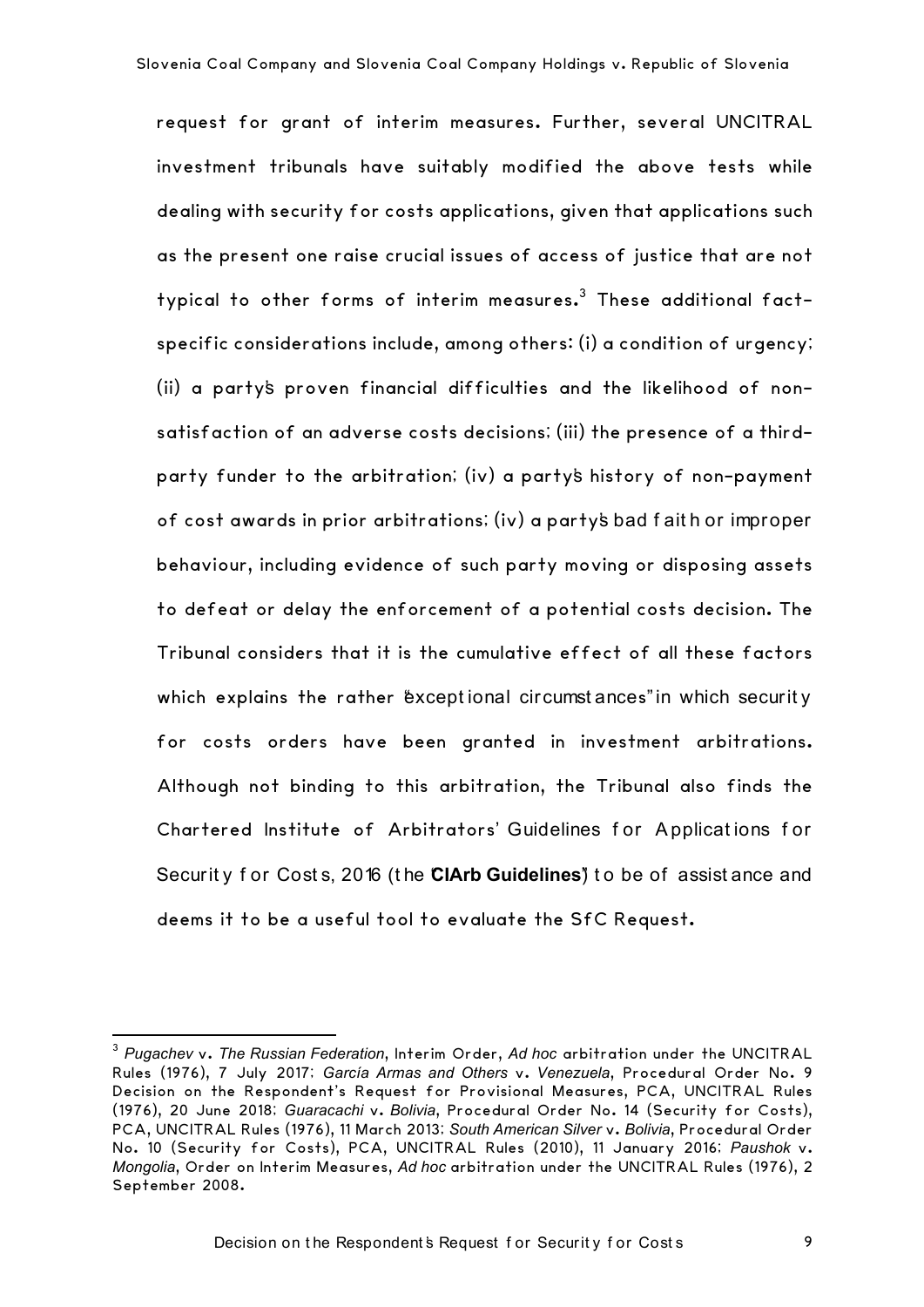request for grant of interim measures. Further, several UNCITRAL investment tribunals have suitably modified the above tests while dealing with security for costs applications, given that applications such as the present one raise crucial issues of access of justice that are not typical to other forms of interim measures. $3$  These additional factspecific considerations include, among others: (i) a condition of urgency; (ii) a party's proven financial difficulties and the likelihood of nonsatisfaction of an adverse costs decisions; (iii) the presence of a thirdparty funder to the arbitration; (iv) a party's history of non-payment of cost awards in prior arbitrations; (iv) a party's bad f ait h or improper behaviour, including evidence of such party moving or disposing assets to defeat or delay the enforcement of a potential costs decision. The Tribunal considers that it is the cumulative effect of all these factors which explains the rather "exceptional circumst ances" in which security for costs orders have been granted in investment arbitrations. Although not binding to this arbitration, the Tribunal also finds the Chartered Institute of Arbitrators' Guidelines for Applications for Security for Costs, 2016 (the **CIArb Guidelines**<sup>"</sup>) to be of assistance and deems it to be a useful tool to evaluate the SfC Request.

 

<sup>3</sup> *Pugachev* v. *The Russian Federation*, Interim Order, *Ad hoc* arbitration under the UNCITRAL Rules (1976), 7 July 2017; *García Armas and Others* v. *Venezuela*, Procedural Order No. 9 Decision on the Respondent's Request for Provisional Measures, PCA, UNCITRAL Rules (1976), 20 June 2018; *Guaracachi* v. *Bolivia*, Procedural Order No. 14 (Security for Costs), PCA, UNCITRAL Rules (1976), 11 March 2013; *South American Silver* v. *Bolivia*, Procedural Order No. 10 (Security for Costs), PCA, UNCITRAL Rules (2010), 11 January 2016; *Paushok* v. *Mongolia*, Order on Interim Measures, *Ad hoc* arbitration under the UNCITRAL Rules (1976), 2 September 2008.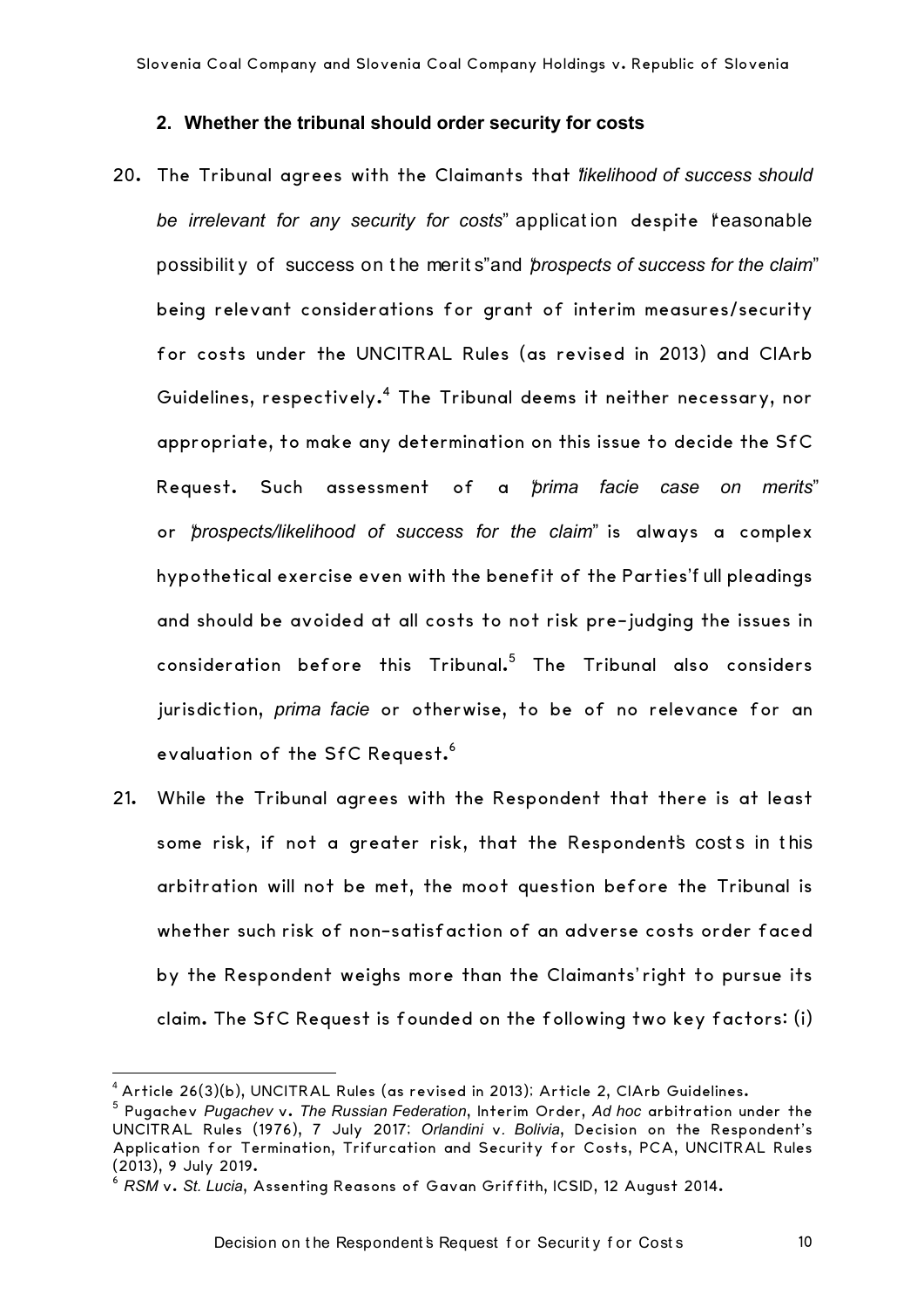#### **2. Whether the tribunal should order security for costs**

- 20. The Tribunal agrees with the Claimants that "*likelihood of success should be irrelevant for any security for costs*" application despite "reasonable" possibilit y of success on t he merit s" and "*prospects of success for the claim*" being relevant considerations for grant of interim measures/security for costs under the UNCITRAL Rules (as revised in 2013) and CIArb Guidelines, respectively.<sup>4</sup> The Tribunal deems it neither necessary, nor appropriate, to make any determination on this issue to decide the SfC Request. Such assessment of a "*prima facie case on merits*" or "*prospects/likelihood of success for the claim*" is always a complex hypothetical exercise even with the benefit of the Parties'f ull pleadings and should be avoided at all costs to not risk pre-judging the issues in consideration before this Tribunal.<sup>5</sup> The Tribunal also considers jurisdiction, *prima facie* or otherwise, to be of no relevance for an evaluation of the SfC Request.<sup>6</sup>
- 21. While the Tribunal agrees with the Respondent that there is at least some risk, if not a greater risk, that the Respondent's costs in this arbitration will not be met, the moot question before the Tribunal is whether such risk of non-satisfaction of an adverse costs order faced by the Respondent weighs more than the Claimants' right to pursue its claim. The SfC Request is founded on the following two key factors: (i)

 <sup>4</sup> Article 26(3)(b), UNCITRAL Rules (as revised in 2013); Article 2, CIArb Guidelines.

<sup>5</sup> Pugachev *Pugachev* v. *The Russian Federation*, Interim Order, *Ad hoc* arbitration under the UNCITRAL Rules (1976), 7 July 2017; *Orlandini* v*. Bolivia*, Decision on the Respondent's Application for Termination, Trifurcation and Security for Costs, PCA, UNCITRAL Rules (2013), 9 July 2019.

<sup>6</sup> *RSM* v. *St. Lucia*, Assenting Reasons of Gavan Griffith, ICSID, 12 August 2014.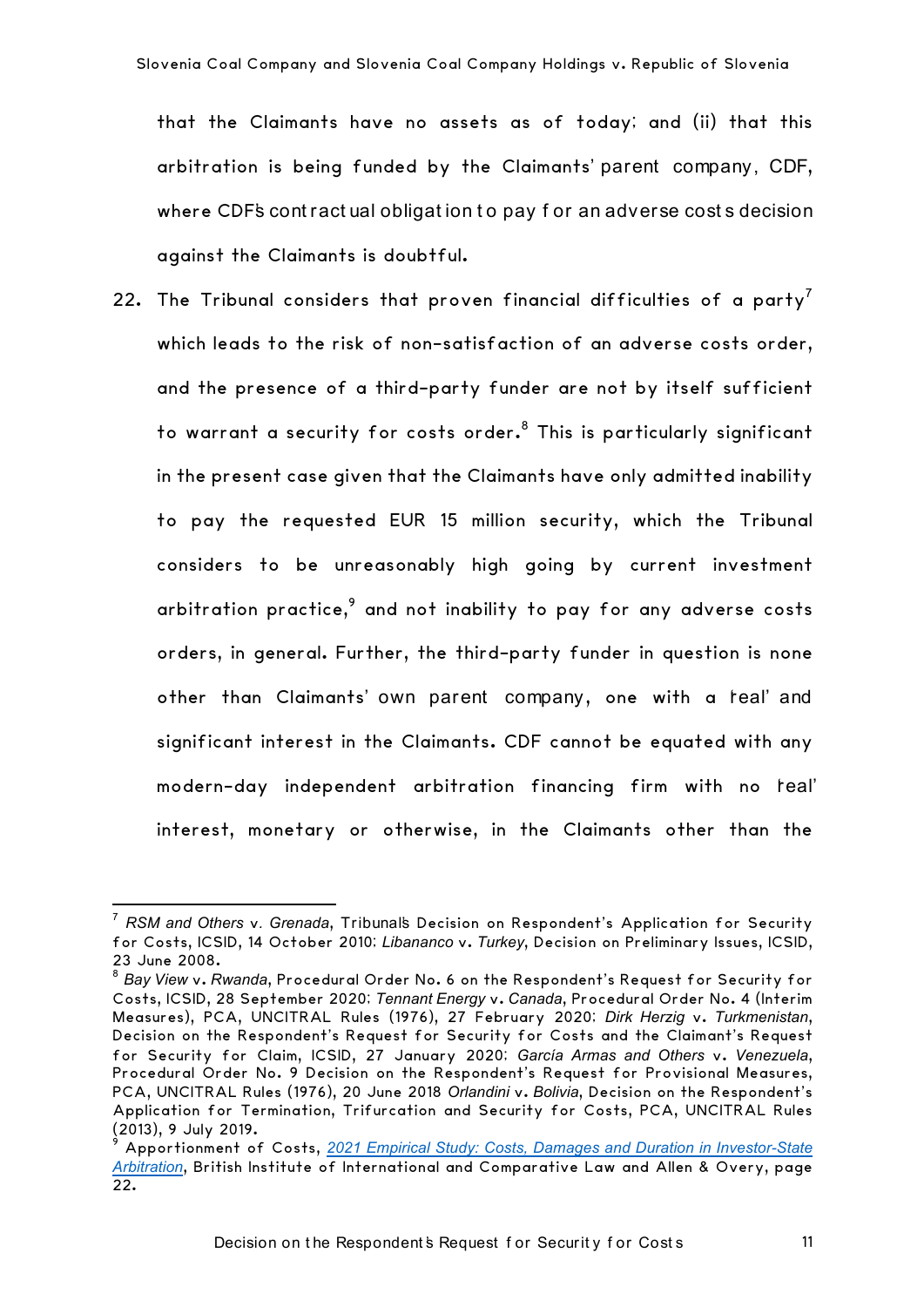that the Claimants have no assets as of today; and (ii) that this arbitration is being funded by the Claimants' parent company, CDF, where CDF's contractual obligation to pay for an adverse costs decision against the Claimants is doubtful.

22. The Tribunal considers that proven financial difficulties of a party<sup>7</sup> which leads to the risk of non-satisfaction of an adverse costs order, and the presence of a third-party funder are not by itself sufficient to warrant a security for costs order. <sup>8</sup> This is particularly significant in the present case given that the Claimants have only admitted inability to pay the requested EUR 15 million security, which the Tribunal considers to be unreasonably high going by current investment arbitration practice, $9$  and not inability to pay for any adverse costs orders, in general. Further, the third-party funder in question is none other than Claimants' own parent company, one with a real' and significant interest in the Claimants. CDF cannot be equated with any modern-day independent arbitration financing firm with no feal' interest, monetary or otherwise, in the Claimants other than the

 

<sup>7</sup> *RSM and Others* v*. Grenada*, Tribunal's Decision on Respondent's Application for Security for Costs, ICSID, 14 October 2010; *Libananco* v. *Turkey*, Decision on Preliminary Issues, ICSID, 23 June 2008.

<sup>8</sup> *Bay View* v. *Rwanda*, Procedural Order No. 6 on the Respondent's Request for Security for Costs, ICSID, 28 September 2020; *Tennant Energy* v. *Canada*, Procedural Order No. 4 (Interim Measures), PCA, UNCITRAL Rules (1976), 27 February 2020; *Dirk Herzig* v. *Turkmenistan*, Decision on the Respondent's Request for Security for Costs and the Claimant's Request for Security for Claim, ICSID, 27 January 2020; *García Armas and Others* v. *Venezuela*, Procedural Order No. 9 Decision on the Respondent's Request for Provisional Measures, PCA, UNCITRAL Rules (1976), 20 June 2018 *Orlandini* v. *Bolivia*, Decision on the Respondent's Application for Termination, Trifurcation and Security for Costs, PCA, UNCITRAL Rules (2013), 9 July 2019.

<sup>9</sup> Apportionment of Costs, *2021 Empirical Study: Costs, Damages and Duration in Investor-State Arbitration*, British Institute of International and Comparative Law and Allen & Overy, page 22.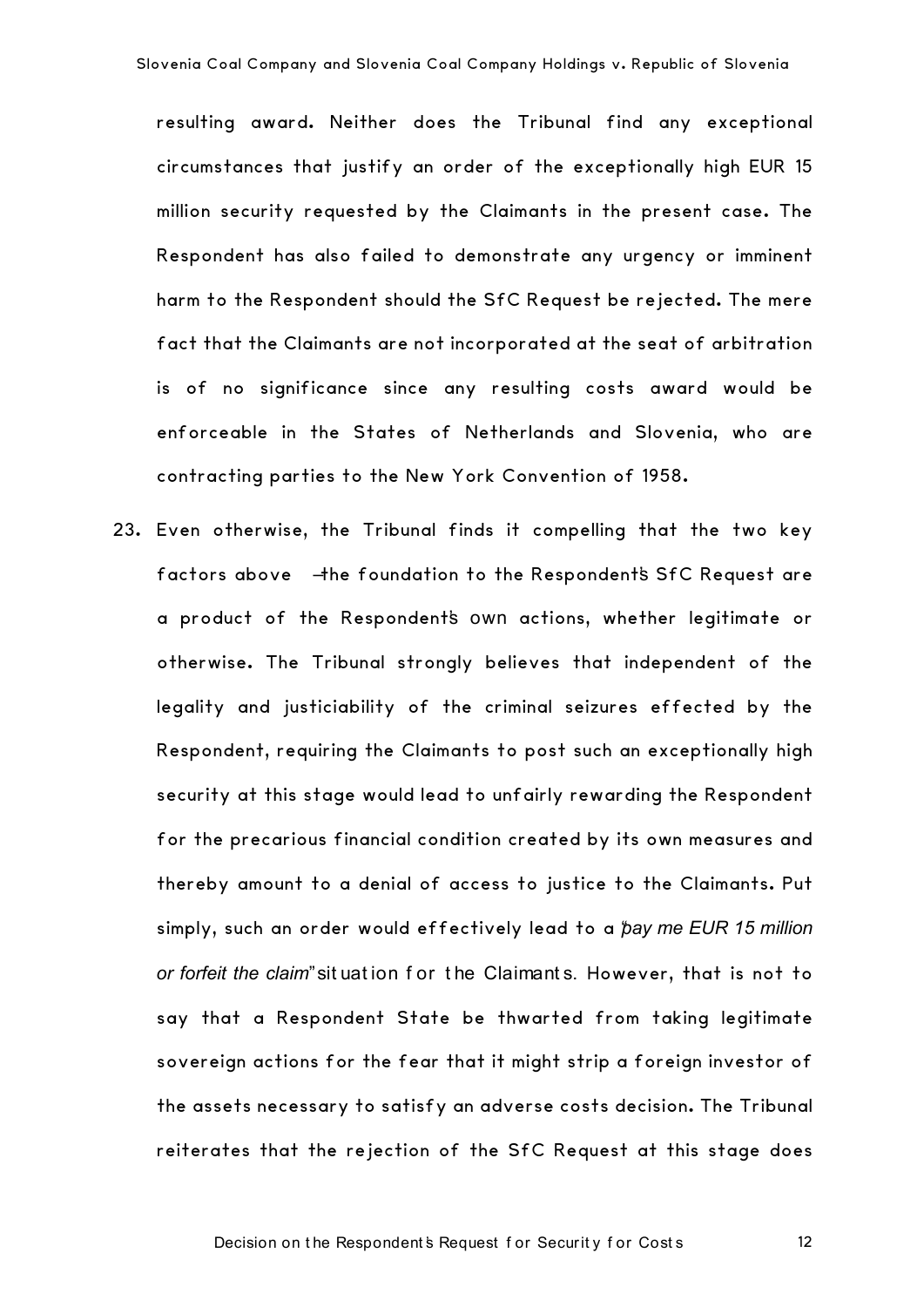resulting award. Neither does the Tribunal find any exceptional circumstances that justify an order of the exceptionally high EUR 15 million security requested by the Claimants in the present case. The Respondent has also failed to demonstrate any urgency or imminent harm to the Respondent should the SfC Request be rejected. The mere fact that the Claimants are not incorporated at the seat of arbitration is of no significance since any resulting costs award would be enforceable in the States of Netherlands and Slovenia, who are contracting parties to the New York Convention of 1958.

23. Even otherwise, the Tribunal finds it compelling that the two key factors above  $A$ he foundation to the Respondent's SfC Request are a product of the Respondent's own actions, whether legitimate or otherwise. The Tribunal strongly believes that independent of the legality and justiciability of the criminal seizures effected by the Respondent, requiring the Claimants to post such an exceptionally high security at this stage would lead to unfairly rewarding the Respondent for the precarious financial condition created by its own measures and thereby amount to a denial of access to justice to the Claimants. Put simply, such an order would effectively lead to a "*pay me EUR 15 million or forfeit the claim*" sit uat ion f or t he Claimant s. However, that is not to say that a Respondent State be thwarted from taking legitimate sovereign actions for the fear that it might strip a foreign investor of the assets necessary to satisfy an adverse costs decision. The Tribunal reiterates that the rejection of the SfC Request at this stage does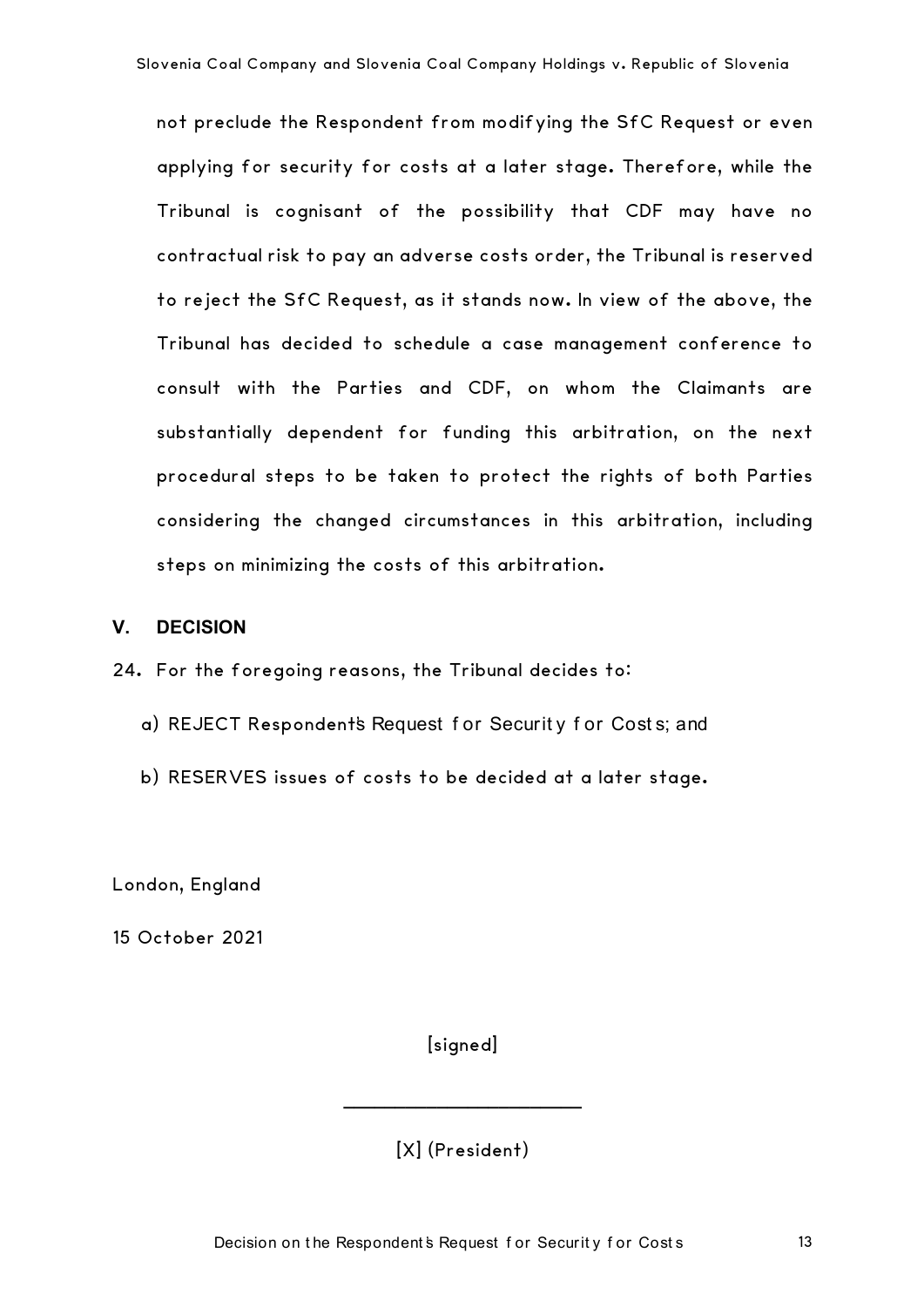not preclude the Respondent from modifying the SfC Request or even applying for security for costs at a later stage. Therefore, while the Tribunal is cognisant of the possibility that CDF may have no contractual risk to pay an adverse costs order, the Tribunal is reserved to reject the SfC Request, as it stands now. In view of the above, the Tribunal has decided to schedule a case management conference to consult with the Parties and CDF, on whom the Claimants are substantially dependent for funding this arbitration, on the next procedural steps to be taken to protect the rights of both Parties considering the changed circumstances in this arbitration, including steps on minimizing the costs of this arbitration.

#### **V. DECISION**

- 24. For the foregoing reasons, the Tribunal decides to:
	- a) REJECT Respondent's Request f or Securit y f or Cost s; and
	- b) RESERVES issues of costs to be decided at a later stage.

London, England

15 October 2021

**[signed]** 

[X] (President)

**\_\_\_\_\_\_\_\_\_\_\_\_\_\_\_\_\_\_\_\_\_\_\_**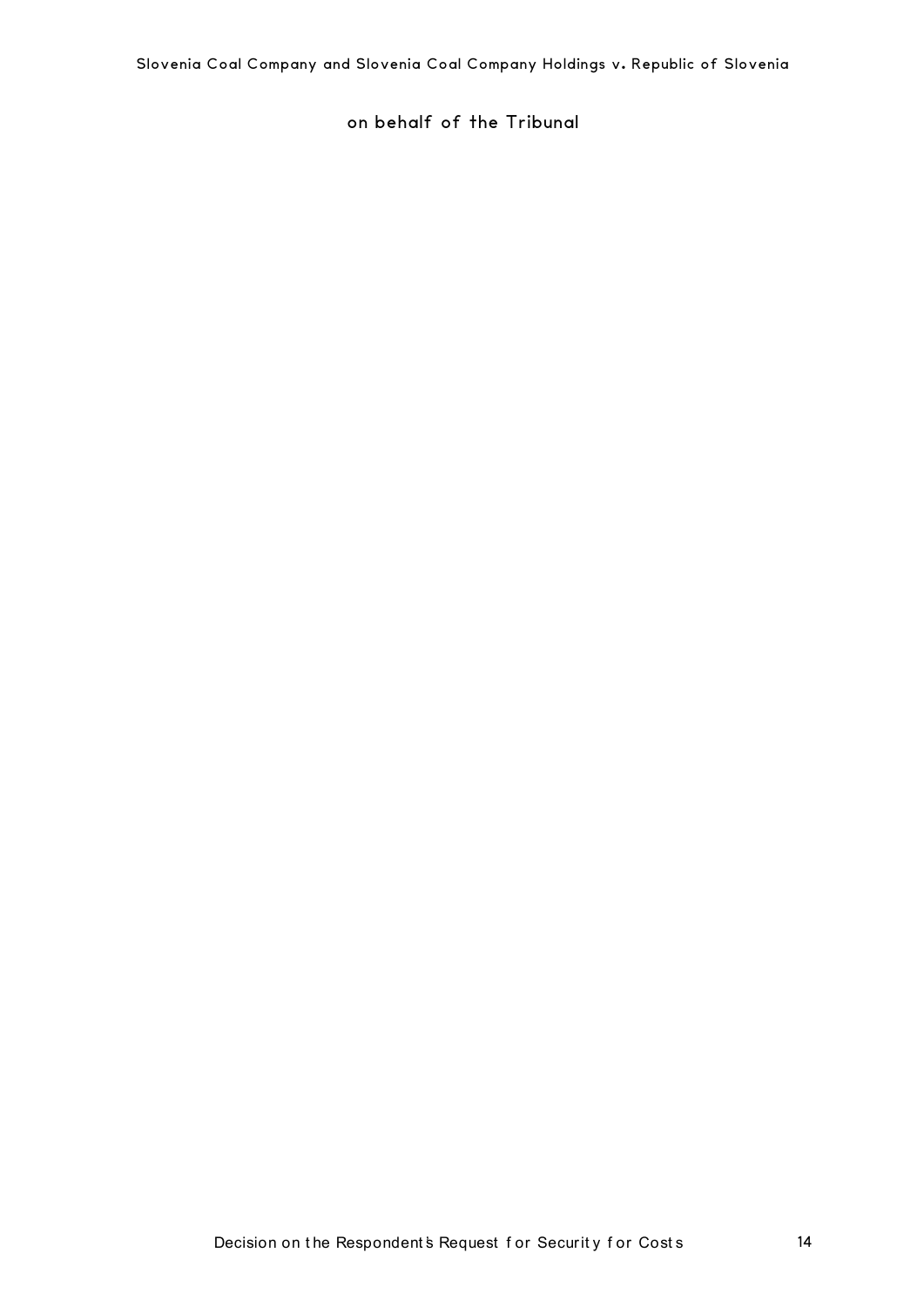on behalf of the Tribunal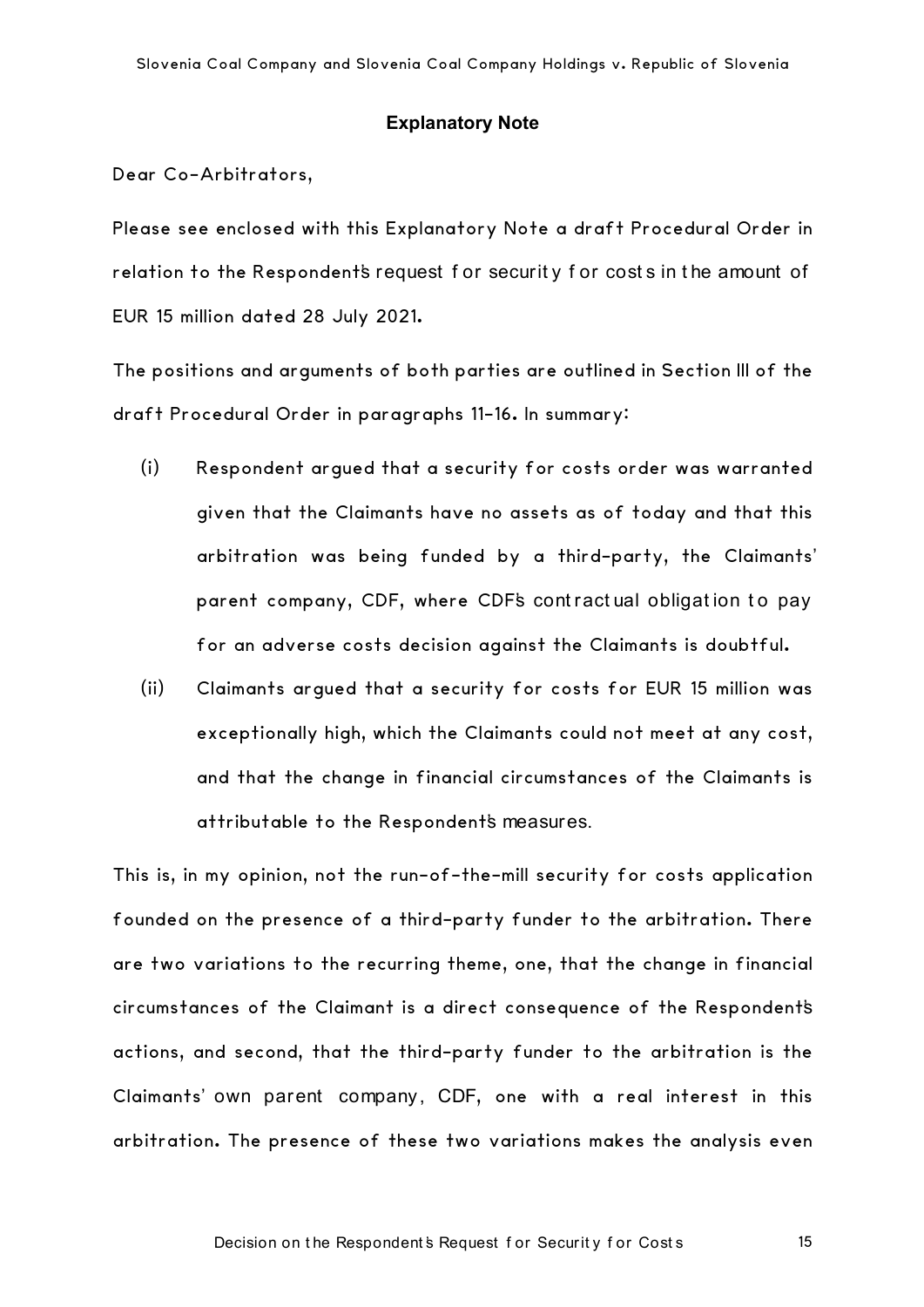#### **Explanatory Note**

Dear Co-Arbitrators,

Please see enclosed with this Explanatory Note a draft Procedural Order in relation to the Respondent's request for security for costs in the amount of EUR 15 million dated 28 July 2021.

The positions and arguments of both parties are outlined in Section III of the draft Procedural Order in paragraphs 11-16. In summary:

- (i) Respondent argued that a security for costs order was warranted given that the Claimants have no assets as of today and that this arbitration was being funded by a third-party, the Claimants' parent company, CDF, where CDF's contractual obligation to pay for an adverse costs decision against the Claimants is doubtful.
- (ii) Claimants argued that a security for costs for EUR 15 million was exceptionally high, which the Claimants could not meet at any cost, and that the change in financial circumstances of the Claimants is attributable to the Respondent's measures.

This is, in my opinion, not the run-of-the-mill security for costs application founded on the presence of a third-party funder to the arbitration. There are two variations to the recurring theme, one, that the change in financial circumstances of the Claimant is a direct consequence of the Respondent's actions, and second, that the third-party funder to the arbitration is the Claimants' own parent company, CDF, one with a real interest in this arbitration. The presence of these two variations makes the analysis even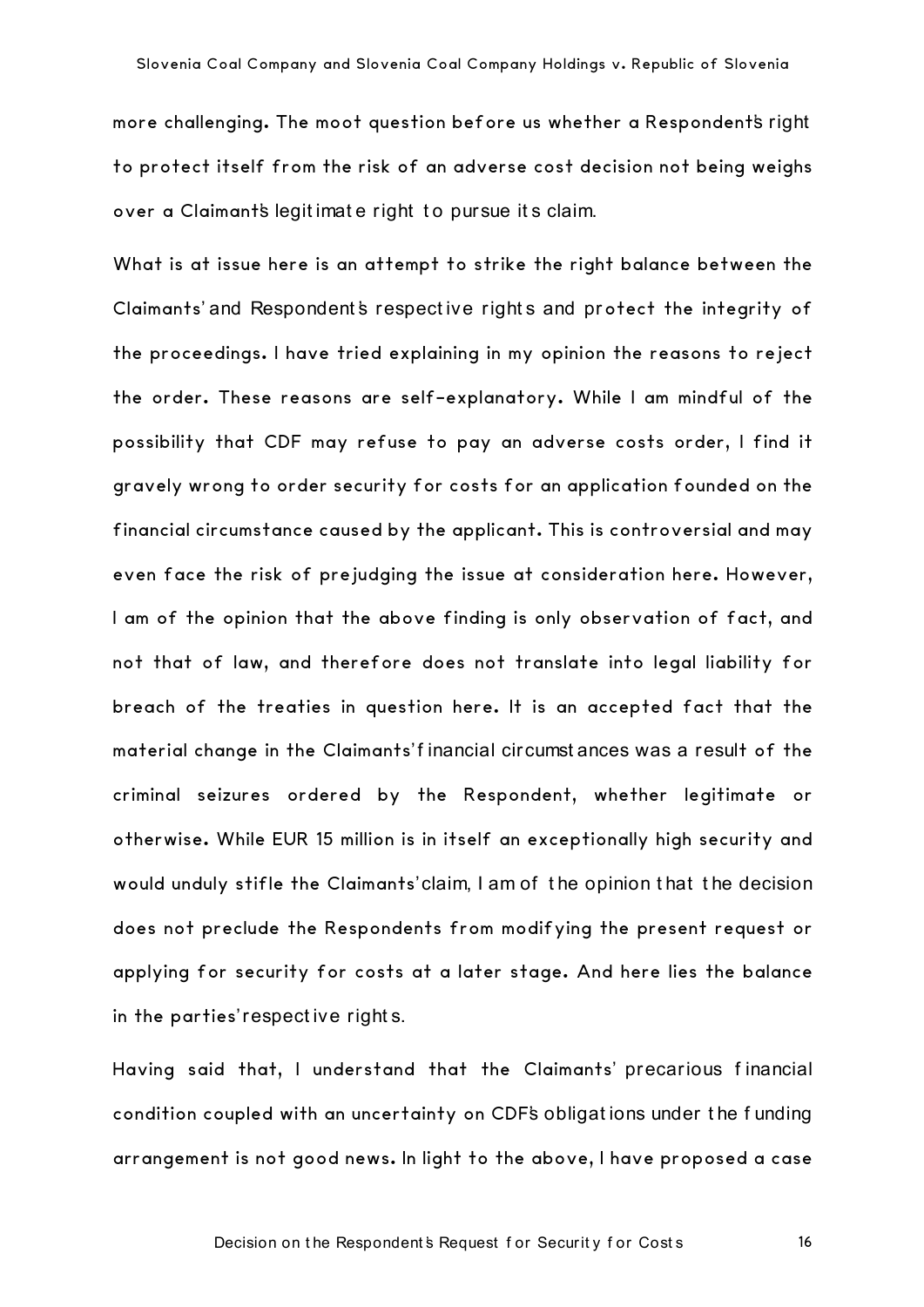more challenging. The moot question before us whether a Respondent's right to protect itself from the risk of an adverse cost decision not being weighs over a Claimant's legit imat e right t o pursue it s claim.

What is at issue here is an attempt to strike the right balance between the Claimants' and Respondent's respective rights and protect the integrity of the proceedings. I have tried explaining in my opinion the reasons to reject the order. These reasons are self-explanatory. While I am mindful of the possibility that CDF may refuse to pay an adverse costs order, I find it gravely wrong to order security for costs for an application founded on the financial circumstance caused by the applicant. This is controversial and may even face the risk of prejudging the issue at consideration here. However, I am of the opinion that the above finding is only observation of fact, and not that of law, and therefore does not translate into legal liability for breach of the treaties in question here. It is an accepted fact that the material change in the Claimants' f inancial circumst ances was a result of the criminal seizures ordered by the Respondent, whether legitimate or otherwise. While EUR 15 million is in itself an exceptionally high security and would unduly stifle the Claimants' claim, I am of t he opinion t hat t he decision does not preclude the Respondents from modifying the present request or applying for security for costs at a later stage. And here lies the balance in the parties' respect ive right s.

Having said that, I understand that the Claimants' precarious f inancial condition coupled with an uncertainty on CDF's obligat ions under t he f unding arrangement is not good news. In light to the above, I have proposed a case